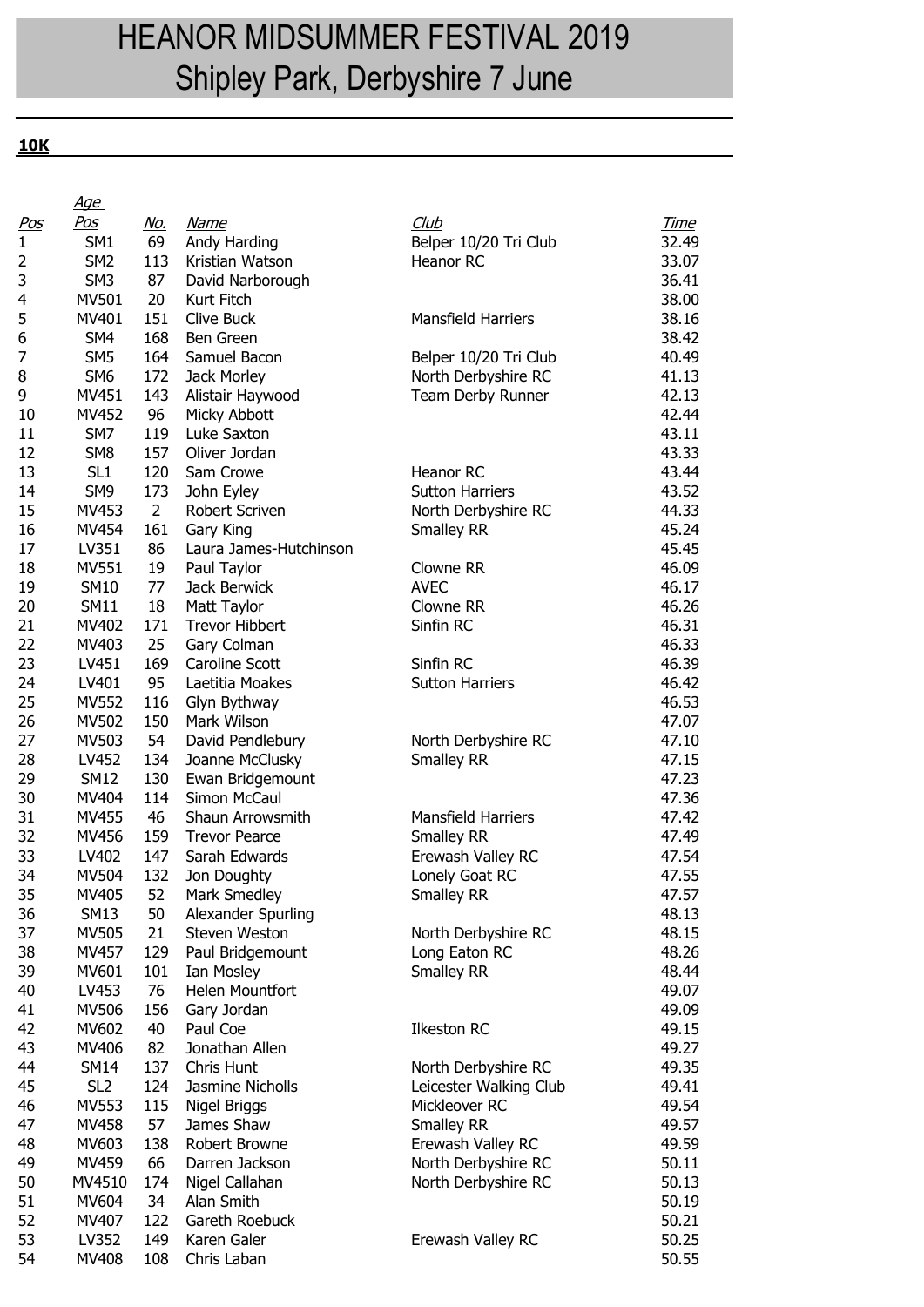## HEANOR MIDSUMMER FESTIVAL 2019 Shipley Park, Derbyshire 7 June

**10K**

|              | <u>Age</u>      |                |                        |                           |             |
|--------------|-----------------|----------------|------------------------|---------------------------|-------------|
| <u>Pos</u>   | Pos             | <u>No.</u>     | <u>Name</u>            | Club                      | <u>Time</u> |
| $\mathbf{1}$ | SM <sub>1</sub> | 69             | Andy Harding           | Belper 10/20 Tri Club     | 32.49       |
| 2            | SM <sub>2</sub> | 113            | Kristian Watson        | Heanor RC                 | 33.07       |
| 3            | SM <sub>3</sub> | 87             | David Narborough       |                           | 36.41       |
| 4            | MV501           | 20             | Kurt Fitch             |                           | 38.00       |
| 5            | MV401           | 151            | Clive Buck             | <b>Mansfield Harriers</b> | 38.16       |
| 6            | SM4             | 168            | Ben Green              |                           | 38.42       |
| 7            | SM <sub>5</sub> | 164            | Samuel Bacon           | Belper 10/20 Tri Club     | 40.49       |
| 8            | SM <sub>6</sub> | 172            | Jack Morley            | North Derbyshire RC       | 41.13       |
| 9            | MV451           | 143            | Alistair Haywood       | Team Derby Runner         | 42.13       |
| 10           | MV452           | 96             | Micky Abbott           |                           | 42.44       |
| 11           | SM7             | 119            | Luke Saxton            |                           | 43.11       |
| 12           | SM <sub>8</sub> | 157            | Oliver Jordan          |                           | 43.33       |
|              |                 |                |                        | <b>Heanor RC</b>          |             |
| 13           | SL <sub>1</sub> | 120            | Sam Crowe              |                           | 43.44       |
| 14           | SM <sub>9</sub> | 173            | John Eyley             | <b>Sutton Harriers</b>    | 43.52       |
| 15           | MV453           | $\overline{2}$ | Robert Scriven         | North Derbyshire RC       | 44.33       |
| 16           | MV454           | 161            | Gary King              | Smalley RR                | 45.24       |
| 17           | LV351           | 86             | Laura James-Hutchinson |                           | 45.45       |
| 18           | MV551           | 19             | Paul Taylor            | Clowne RR                 | 46.09       |
| 19           | <b>SM10</b>     | 77             | Jack Berwick           | <b>AVEC</b>               | 46.17       |
| 20           | <b>SM11</b>     | 18             | Matt Taylor            | Clowne RR                 | 46.26       |
| 21           | MV402           | 171            | <b>Trevor Hibbert</b>  | Sinfin RC                 | 46.31       |
| 22           | MV403           | 25             | Gary Colman            |                           | 46.33       |
| 23           | LV451           | 169            | Caroline Scott         | Sinfin RC                 | 46.39       |
| 24           | LV401           | 95             | Laetitia Moakes        | <b>Sutton Harriers</b>    | 46.42       |
| 25           | <b>MV552</b>    | 116            | Glyn Bythway           |                           | 46.53       |
| 26           | MV502           | 150            | Mark Wilson            |                           | 47.07       |
| 27           | MV503           | 54             | David Pendlebury       | North Derbyshire RC       | 47.10       |
| 28           | LV452           | 134            | Joanne McClusky        | Smalley RR                | 47.15       |
| 29           | <b>SM12</b>     | 130            | Ewan Bridgemount       |                           | 47.23       |
| 30           | MV404           | 114            | Simon McCaul           |                           | 47.36       |
| 31           | MV455           | 46             | Shaun Arrowsmith       | <b>Mansfield Harriers</b> | 47.42       |
| 32           | MV456           | 159            | <b>Trevor Pearce</b>   | Smalley RR                | 47.49       |
| 33           | LV402           | 147            | Sarah Edwards          | Erewash Valley RC         | 47.54       |
| 34           | MV504           | 132            | Jon Doughty            | Lonely Goat RC            | 47.55       |
| 35           | MV405           | 52             | Mark Smedley           | <b>Smalley RR</b>         | 47.57       |
| 36           | <b>SM13</b>     | 50             | Alexander Spurling     |                           | 48.13       |
| 37           | MV505           | 21             | Steven Weston          | North Derbyshire RC       | 48.15       |
| 38           | MV457           | 129            | Paul Bridgemount       | Long Eaton RC             | 48.26       |
| 39           | MV601           | 101            | Ian Mosley             | Smalley RR                | 48.44       |
| 40           | LV453           | 76             | Helen Mountfort        |                           | 49.07       |
| 41           | <b>MV506</b>    | 156            | Gary Jordan            |                           | 49.09       |
| 42           | MV602           | 40             | Paul Coe               | <b>Ilkeston RC</b>        | 49.15       |
| 43           | MV406           | 82             | Jonathan Allen         |                           | 49.27       |
| 44           | <b>SM14</b>     | 137            | Chris Hunt             | North Derbyshire RC       | 49.35       |
| 45           | SL <sub>2</sub> | 124            | Jasmine Nicholls       | Leicester Walking Club    | 49.41       |
| 46           | MV553           | 115            | Nigel Briggs           | Mickleover RC             | 49.54       |
| 47           | MV458           | 57             | James Shaw             | Smalley RR                | 49.57       |
| 48           | MV603           | 138            | Robert Browne          | Erewash Valley RC         | 49.59       |
| 49           | MV459           | 66             | Darren Jackson         | North Derbyshire RC       | 50.11       |
| 50           | MV4510          | 174            | Nigel Callahan         |                           | 50.13       |
|              |                 |                |                        | North Derbyshire RC       |             |
| 51           | MV604           | 34             | Alan Smith             |                           | 50.19       |
| 52           | MV407           | 122            | Gareth Roebuck         |                           | 50.21       |
| 53           | LV352           | 149            | Karen Galer            | Erewash Valley RC         | 50.25       |
| 54           | MV408           | 108            | Chris Laban            |                           | 50.55       |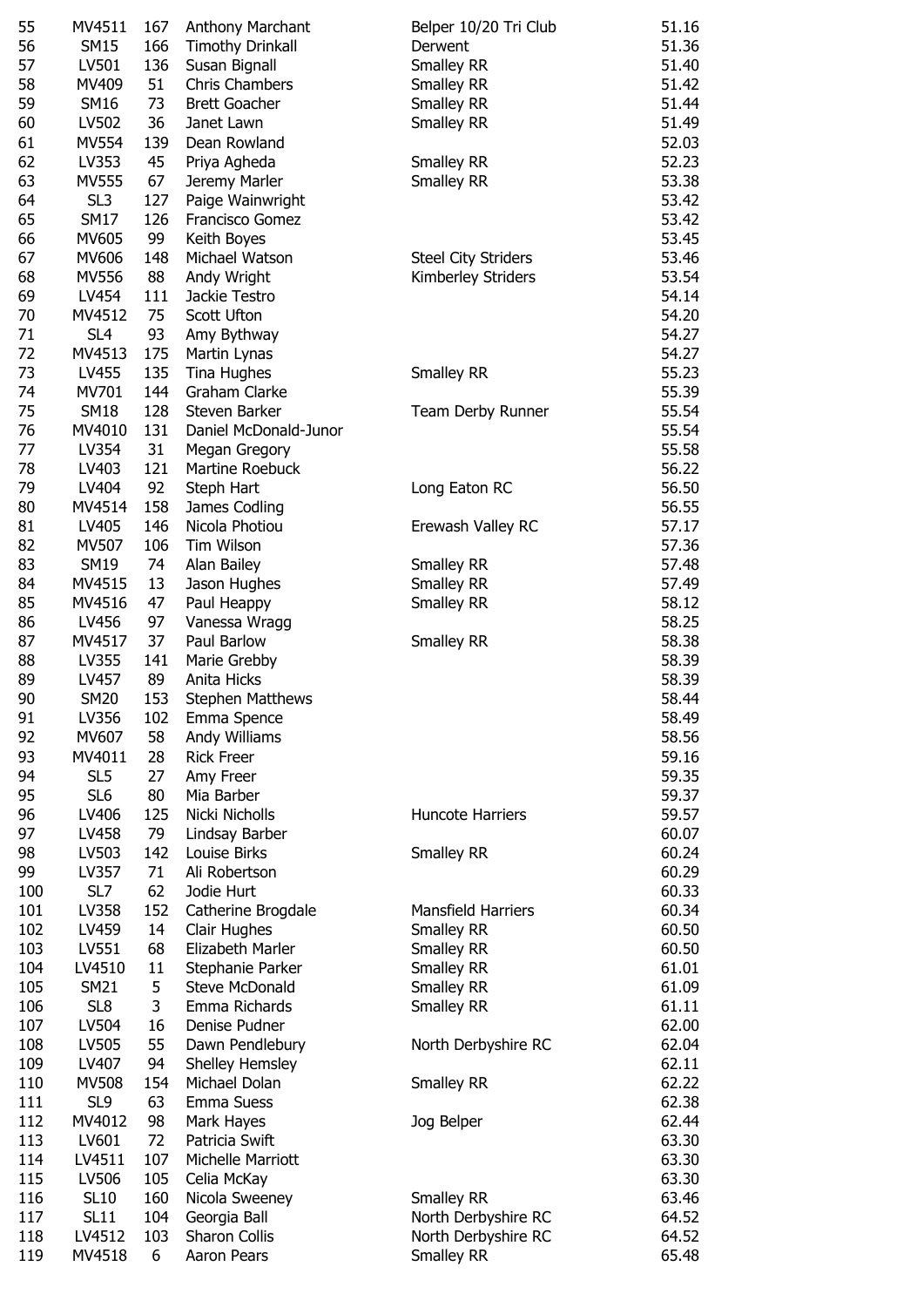| 55  | MV4511          | 167 | Anthony Marchant        | Belper 10/20 Tri Club      | 51.16 |
|-----|-----------------|-----|-------------------------|----------------------------|-------|
| 56  | <b>SM15</b>     | 166 | <b>Timothy Drinkall</b> | Derwent                    | 51.36 |
| 57  | LV501           | 136 | Susan Bignall           | <b>Smalley RR</b>          | 51.40 |
| 58  | MV409           | 51  | Chris Chambers          | Smalley RR                 | 51.42 |
| 59  | <b>SM16</b>     | 73  | <b>Brett Goacher</b>    | Smalley RR                 | 51.44 |
|     |                 |     |                         |                            |       |
| 60  | LV502           | 36  | Janet Lawn              | Smalley RR                 | 51.49 |
| 61  | <b>MV554</b>    | 139 | Dean Rowland            |                            | 52.03 |
| 62  | LV353           | 45  | Priya Agheda            | Smalley RR                 | 52.23 |
| 63  | MV555           | 67  | Jeremy Marler           | <b>Smalley RR</b>          | 53.38 |
| 64  | SL <sub>3</sub> | 127 | Paige Wainwright        |                            | 53.42 |
|     |                 |     |                         |                            |       |
| 65  | <b>SM17</b>     | 126 | <b>Francisco Gomez</b>  |                            | 53.42 |
| 66  | MV605           | 99  | Keith Boyes             |                            | 53.45 |
| 67  | MV606           | 148 | Michael Watson          | <b>Steel City Striders</b> | 53.46 |
| 68  | MV556           | 88  | Andy Wright             | Kimberley Striders         | 53.54 |
| 69  | LV454           | 111 | Jackie Testro           |                            | 54.14 |
|     |                 |     |                         |                            |       |
| 70  | MV4512          | 75  | Scott Ufton             |                            | 54.20 |
| 71  | SL <sub>4</sub> | 93  | Amy Bythway             |                            | 54.27 |
| 72  | MV4513          | 175 | Martin Lynas            |                            | 54.27 |
| 73  | LV455           | 135 | Tina Hughes             | Smalley RR                 | 55.23 |
| 74  | MV701           | 144 | Graham Clarke           |                            | 55.39 |
|     |                 |     |                         |                            |       |
| 75  | <b>SM18</b>     | 128 | Steven Barker           | Team Derby Runner          | 55.54 |
| 76  | MV4010          | 131 | Daniel McDonald-Junor   |                            | 55.54 |
| 77  | LV354           | 31  | Megan Gregory           |                            | 55.58 |
| 78  | LV403           | 121 | Martine Roebuck         |                            | 56.22 |
| 79  | LV404           | 92  | Steph Hart              | Long Eaton RC              | 56.50 |
|     |                 |     |                         |                            |       |
| 80  | MV4514          | 158 | James Codling           |                            | 56.55 |
| 81  | LV405           | 146 | Nicola Photiou          | Erewash Valley RC          | 57.17 |
| 82  | MV507           | 106 | Tim Wilson              |                            | 57.36 |
| 83  | SM19            | 74  | Alan Bailey             | <b>Smalley RR</b>          | 57.48 |
| 84  | MV4515          | 13  | Jason Hughes            | <b>Smalley RR</b>          | 57.49 |
| 85  | MV4516          | 47  | Paul Heappy             | <b>Smalley RR</b>          | 58.12 |
|     |                 |     |                         |                            |       |
| 86  | LV456           | 97  | Vanessa Wragg           |                            | 58.25 |
| 87  | MV4517          | 37  | Paul Barlow             | <b>Smalley RR</b>          | 58.38 |
| 88  | LV355           | 141 | Marie Grebby            |                            | 58.39 |
| 89  | LV457           | 89  | Anita Hicks             |                            | 58.39 |
| 90  | <b>SM20</b>     | 153 | <b>Stephen Matthews</b> |                            | 58.44 |
| 91  | LV356           | 102 | Emma Spence             |                            | 58.49 |
| 92  | MV607           | 58  | Andy Williams           |                            | 58.56 |
|     |                 |     |                         |                            |       |
| 93  | MV4011          | 28  | <b>Rick Freer</b>       |                            | 59.16 |
| 94  | SL <sub>5</sub> | 27  | Amy Freer               |                            | 59.35 |
| 95  | SL <sub>6</sub> | 80  | Mia Barber              |                            | 59.37 |
| 96  | LV406           | 125 | Nicki Nicholls          | Huncote Harriers           | 59.57 |
| 97  | LV458           | 79  | Lindsay Barber          |                            | 60.07 |
| 98  | LV503           | 142 | Louise Birks            | Smalley RR                 | 60.24 |
|     |                 |     |                         |                            |       |
| 99  | LV357           | 71  | Ali Robertson           |                            | 60.29 |
| 100 | SL7             | 62  | Jodie Hurt              |                            | 60.33 |
| 101 | LV358           | 152 | Catherine Brogdale      | <b>Mansfield Harriers</b>  | 60.34 |
| 102 | LV459           | 14  | Clair Hughes            | <b>Smalley RR</b>          | 60.50 |
| 103 | LV551           | 68  | Elizabeth Marler        | <b>Smalley RR</b>          | 60.50 |
| 104 | LV4510          | 11  | Stephanie Parker        | <b>Smalley RR</b>          | 61.01 |
|     |                 |     |                         |                            |       |
| 105 | <b>SM21</b>     | 5   | <b>Steve McDonald</b>   | <b>Smalley RR</b>          | 61.09 |
| 106 | SL8             | 3   | Emma Richards           | Smalley RR                 | 61.11 |
| 107 | LV504           | 16  | Denise Pudner           |                            | 62.00 |
| 108 | LV505           | 55  | Dawn Pendlebury         | North Derbyshire RC        | 62.04 |
| 109 | LV407           | 94  | Shelley Hemsley         |                            | 62.11 |
| 110 | <b>MV508</b>    | 154 | Michael Dolan           | <b>Smalley RR</b>          | 62.22 |
|     |                 |     |                         |                            |       |
| 111 | SL9             | 63  | Emma Suess              |                            | 62.38 |
| 112 | MV4012          | 98  | Mark Hayes              | Jog Belper                 | 62.44 |
| 113 | LV601           | 72  | Patricia Swift          |                            | 63.30 |
| 114 | LV4511          | 107 | Michelle Marriott       |                            | 63.30 |
| 115 | LV506           | 105 | Celia McKay             |                            | 63.30 |
| 116 | <b>SL10</b>     | 160 | Nicola Sweeney          | <b>Smalley RR</b>          | 63.46 |
| 117 |                 | 104 |                         | North Derbyshire RC        |       |
|     | <b>SL11</b>     |     | Georgia Ball            |                            | 64.52 |
| 118 | LV4512          | 103 | Sharon Collis           | North Derbyshire RC        | 64.52 |
| 119 | MV4518          | 6   | Aaron Pears             | Smalley RR                 | 65.48 |